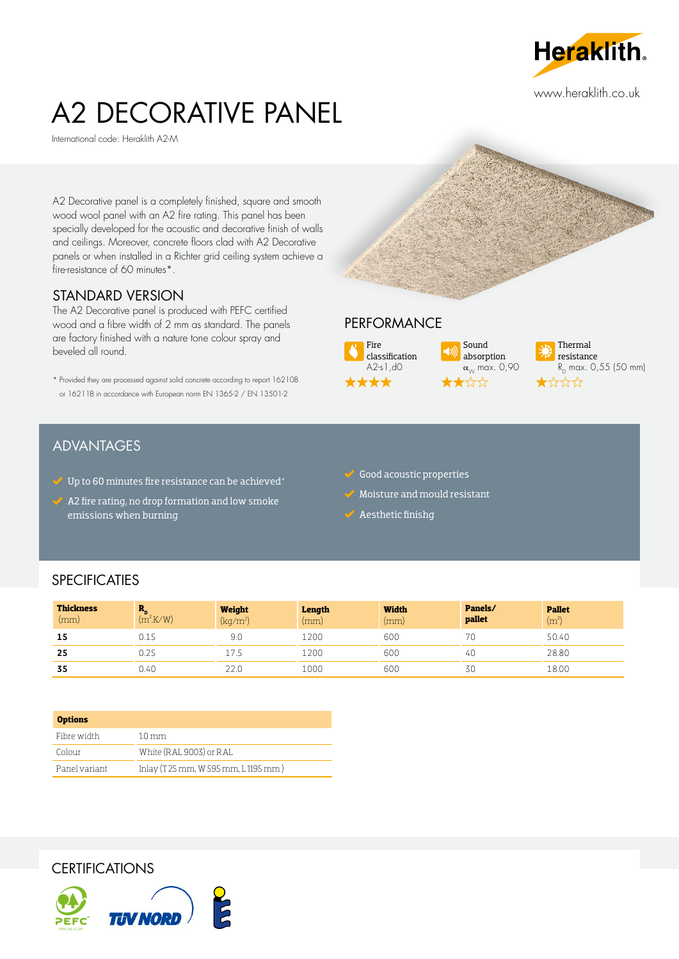

www.heraklith.co.uk

# A2 DECORATIVE PANEL

International code: Heraklith A2-M

A2 Decorative panel is a completely finished, square and smooth wood wool panel with an A2 fire rating. This panel has been specially developed for the acoustic and decorative finish of walls and ceilings. Moreover, concrete floors clad with A2 Decorative panels or when installed in a Richter grid ceiling system achieve a fire-resistance of 60 minutes\*.

#### STANDARD VERSION

The A2 Decorative panel is produced with PEFC certified wood and a fibre width of 2 mm as standard. The panels are factory finished with a nature tone colour spray and beveled all round.

\* Provided they are processed against solid concrete according to report 16210B or 16211B in accordance with European norm EN 1365-2 / EN 13501-2

## **ADVANTAGES**

- $\checkmark$  Up to 60 minutes fire resistance can be achieved\*
- $\overline{\mathscr{L}}$  A2 fire rating, no drop formation and low smoke emissions when burning

## **PERFORMANCE**



Sound absorption  $\alpha_{\scriptscriptstyle{\cal W}}$  max. 0,90  $\frac{1}{2}$ 



#### $\blacktriangleright$  Good acoustic properties

- Moisture and mould resistant
- Aesthetic finishg

#### **SPECIFICATIES**

| <b>Thickness</b><br>(mm) | $\mathbf{r}$<br>$(m^2$ K/W)   | Weight<br>(kg/m <sup>2</sup> ) | Length<br>(mm) | <b>Width</b><br>(mm) | Panels/<br>pallet | <b>Pallet</b><br>(m <sup>2</sup> ) |
|--------------------------|-------------------------------|--------------------------------|----------------|----------------------|-------------------|------------------------------------|
| 15                       | U.I 5                         | 9.0                            | 1200           | 600                  | 70                | 50.40                              |
| 25                       | $\cdot$ $\cap$ $\sim$<br>0.25 | 17.2                           | 1200           | 600                  | 40                | 28.80                              |
| 35                       | 0.40                          | 22.0                           | 1000           | 600                  | 30                | 18.00                              |

| <b>Options</b> |                                      |
|----------------|--------------------------------------|
| Fibre width    | $1.0 \,\mathrm{mm}$                  |
| Colour         | White (RAL 9003) or RAL              |
| Panel variant  | Inlay (T 25 mm, W 595 mm, L 1195 mm) |